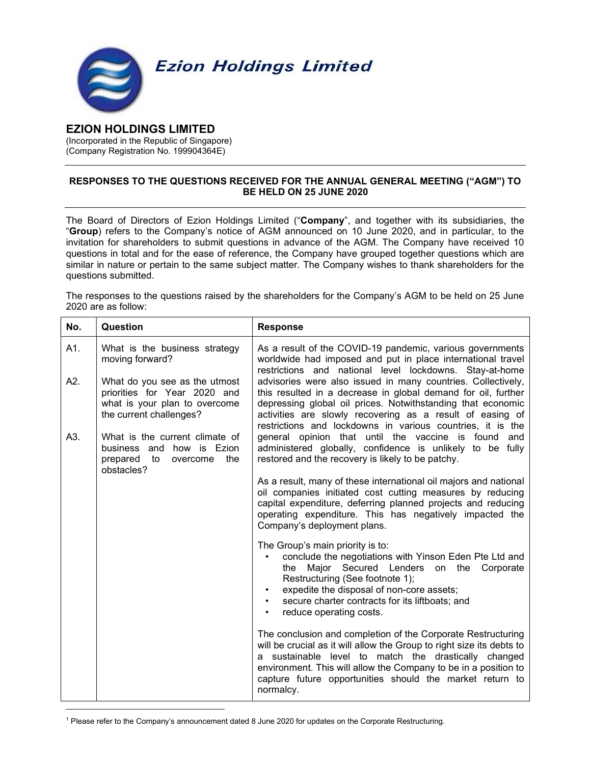

## EZION HOLDINGS LIMITED

(Incorporated in the Republic of Singapore) (Company Registration No. 199904364E)

## RESPONSES TO THE QUESTIONS RECEIVED FOR THE ANNUAL GENERAL MEETING ("AGM") TO BE HELD ON 25 JUNE 2020

The Board of Directors of Ezion Holdings Limited ("Company", and together with its subsidiaries, the "Group) refers to the Company's notice of AGM announced on 10 June 2020, and in particular, to the invitation for shareholders to submit questions in advance of the AGM. The Company have received 10 questions in total and for the ease of reference, the Company have grouped together questions which are similar in nature or pertain to the same subject matter. The Company wishes to thank shareholders for the questions submitted.

The responses to the questions raised by the shareholders for the Company's AGM to be held on 25 June 2020 are as follow:

| No. | Question                                                                                                                  | <b>Response</b>                                                                                                                                                                                                                                                                                                                           |
|-----|---------------------------------------------------------------------------------------------------------------------------|-------------------------------------------------------------------------------------------------------------------------------------------------------------------------------------------------------------------------------------------------------------------------------------------------------------------------------------------|
| A1. | What is the business strategy<br>moving forward?                                                                          | As a result of the COVID-19 pandemic, various governments<br>worldwide had imposed and put in place international travel<br>restrictions and national level lockdowns. Stay-at-home                                                                                                                                                       |
| A2. | What do you see as the utmost<br>priorities for Year 2020 and<br>what is your plan to overcome<br>the current challenges? | advisories were also issued in many countries. Collectively,<br>this resulted in a decrease in global demand for oil, further<br>depressing global oil prices. Notwithstanding that economic<br>activities are slowly recovering as a result of easing of<br>restrictions and lockdowns in various countries, it is the                   |
| A3. | What is the current climate of<br>business and how is Ezion<br>prepared to<br>the<br>overcome<br>obstacles?               | general opinion that until the vaccine is found<br>and<br>administered globally, confidence is unlikely to be fully<br>restored and the recovery is likely to be patchy.                                                                                                                                                                  |
|     |                                                                                                                           | As a result, many of these international oil majors and national<br>oil companies initiated cost cutting measures by reducing<br>capital expenditure, deferring planned projects and reducing<br>operating expenditure. This has negatively impacted the<br>Company's deployment plans.                                                   |
|     |                                                                                                                           | The Group's main priority is to:<br>conclude the negotiations with Yinson Eden Pte Ltd and<br>the Major Secured Lenders on the Corporate<br>Restructuring (See footnote 1);<br>expedite the disposal of non-core assets;<br>secure charter contracts for its liftboats; and<br>reduce operating costs.                                    |
|     |                                                                                                                           | The conclusion and completion of the Corporate Restructuring<br>will be crucial as it will allow the Group to right size its debts to<br>a sustainable level to match the drastically changed<br>environment. This will allow the Company to be in a position to<br>capture future opportunities should the market return to<br>normalcy. |

<sup>1</sup> Please refer to the Company's announcement dated 8 June 2020 for updates on the Corporate Restructuring.

\_\_\_\_\_\_\_\_\_\_\_\_\_\_\_\_\_\_\_\_\_\_\_\_\_\_\_\_\_\_\_\_\_\_\_\_\_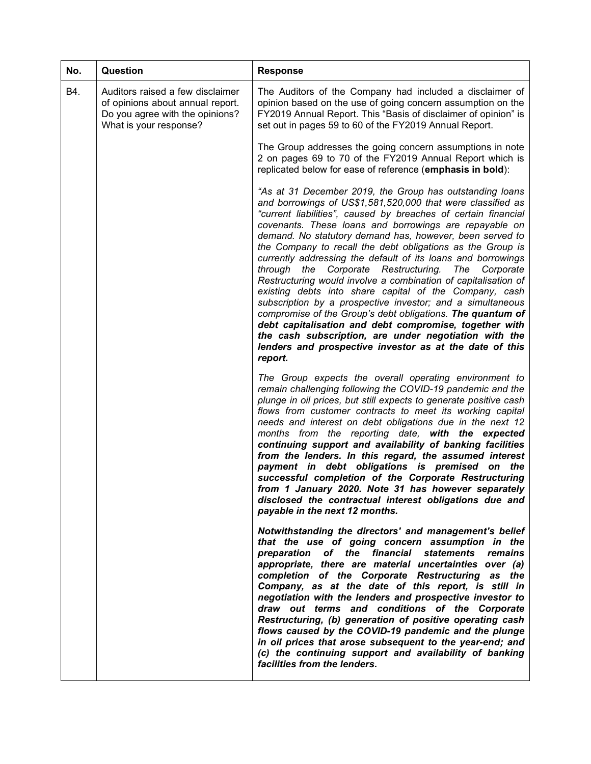| No. | Question                                                                                                                          | <b>Response</b>                                                                                                                                                                                                                                                                                                                                                                                                                                                                                                                                                                                                                                                                                                                                                                                                                                                                                                                                            |
|-----|-----------------------------------------------------------------------------------------------------------------------------------|------------------------------------------------------------------------------------------------------------------------------------------------------------------------------------------------------------------------------------------------------------------------------------------------------------------------------------------------------------------------------------------------------------------------------------------------------------------------------------------------------------------------------------------------------------------------------------------------------------------------------------------------------------------------------------------------------------------------------------------------------------------------------------------------------------------------------------------------------------------------------------------------------------------------------------------------------------|
| B4. | Auditors raised a few disclaimer<br>of opinions about annual report.<br>Do you agree with the opinions?<br>What is your response? | The Auditors of the Company had included a disclaimer of<br>opinion based on the use of going concern assumption on the<br>FY2019 Annual Report. This "Basis of disclaimer of opinion" is<br>set out in pages 59 to 60 of the FY2019 Annual Report.                                                                                                                                                                                                                                                                                                                                                                                                                                                                                                                                                                                                                                                                                                        |
|     |                                                                                                                                   | The Group addresses the going concern assumptions in note<br>2 on pages 69 to 70 of the FY2019 Annual Report which is<br>replicated below for ease of reference (emphasis in bold):                                                                                                                                                                                                                                                                                                                                                                                                                                                                                                                                                                                                                                                                                                                                                                        |
|     |                                                                                                                                   | "As at 31 December 2019, the Group has outstanding loans<br>and borrowings of US\$1,581,520,000 that were classified as<br>"current liabilities", caused by breaches of certain financial<br>covenants. These loans and borrowings are repayable on<br>demand. No statutory demand has, however, been served to<br>the Company to recall the debt obligations as the Group is<br>currently addressing the default of its loans and borrowings<br>through the Corporate Restructuring.<br>The<br>Corporate<br>Restructuring would involve a combination of capitalisation of<br>existing debts into share capital of the Company, cash<br>subscription by a prospective investor; and a simultaneous<br>compromise of the Group's debt obligations. The quantum of<br>debt capitalisation and debt compromise, together with<br>the cash subscription, are under negotiation with the<br>lenders and prospective investor as at the date of this<br>report. |
|     |                                                                                                                                   | The Group expects the overall operating environment to<br>remain challenging following the COVID-19 pandemic and the<br>plunge in oil prices, but still expects to generate positive cash<br>flows from customer contracts to meet its working capital<br>needs and interest on debt obligations due in the next 12<br>months from the reporting date, with the expected<br>continuing support and availability of banking facilities<br>from the lenders. In this regard, the assumed interest<br>payment in debt obligations is premised on<br>the<br>successful completion of the Corporate Restructuring<br>from 1 January 2020. Note 31 has however separately<br>disclosed the contractual interest obligations due and<br>payable in the next 12 months.                                                                                                                                                                                            |
|     |                                                                                                                                   | Notwithstanding the directors' and management's belief<br>that the use of going concern assumption in the<br>of the financial statements<br>preparation<br>remains<br>appropriate, there are material uncertainties over (a)<br>completion of the Corporate Restructuring as the<br>Company, as at the date of this report, is still in<br>negotiation with the lenders and prospective investor to<br>draw out terms and conditions of the Corporate<br>Restructuring, (b) generation of positive operating cash<br>flows caused by the COVID-19 pandemic and the plunge<br>in oil prices that arose subsequent to the year-end; and<br>(c) the continuing support and availability of banking<br>facilities from the lenders.                                                                                                                                                                                                                            |